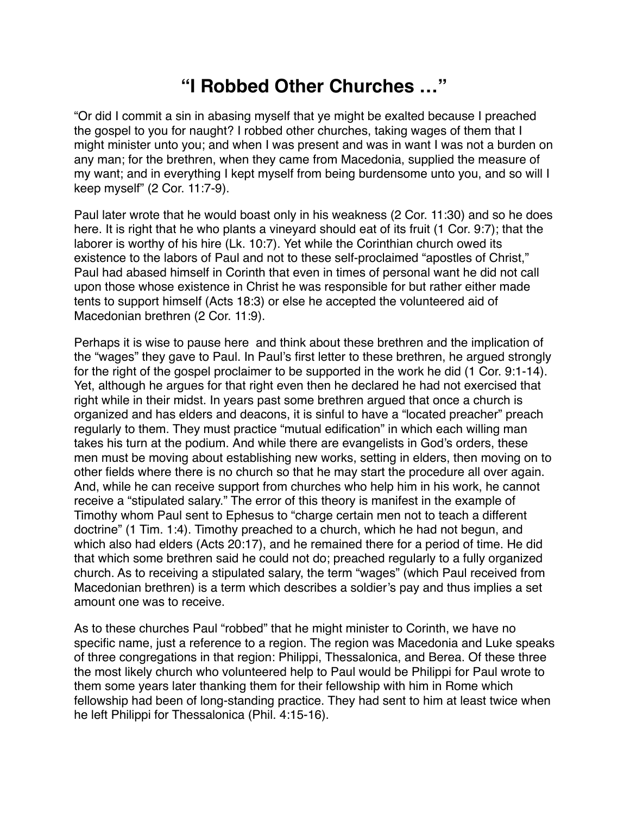## **"I Robbed Other Churches …"**

"Or did I commit a sin in abasing myself that ye might be exalted because I preached the gospel to you for naught? I robbed other churches, taking wages of them that I might minister unto you; and when I was present and was in want I was not a burden on any man; for the brethren, when they came from Macedonia, supplied the measure of my want; and in everything I kept myself from being burdensome unto you, and so will I keep myself" (2 Cor. 11:7-9).

Paul later wrote that he would boast only in his weakness (2 Cor. 11:30) and so he does here. It is right that he who plants a vineyard should eat of its fruit (1 Cor. 9:7); that the laborer is worthy of his hire (Lk. 10:7). Yet while the Corinthian church owed its existence to the labors of Paul and not to these self-proclaimed "apostles of Christ," Paul had abased himself in Corinth that even in times of personal want he did not call upon those whose existence in Christ he was responsible for but rather either made tents to support himself (Acts 18:3) or else he accepted the volunteered aid of Macedonian brethren (2 Cor. 11:9).

Perhaps it is wise to pause here and think about these brethren and the implication of the "wages" they gave to Paul. In Paul's first letter to these brethren, he argued strongly for the right of the gospel proclaimer to be supported in the work he did (1 Cor. 9:1-14). Yet, although he argues for that right even then he declared he had not exercised that right while in their midst. In years past some brethren argued that once a church is organized and has elders and deacons, it is sinful to have a "located preacher" preach regularly to them. They must practice "mutual edification" in which each willing man takes his turn at the podium. And while there are evangelists in God's orders, these men must be moving about establishing new works, setting in elders, then moving on to other fields where there is no church so that he may start the procedure all over again. And, while he can receive support from churches who help him in his work, he cannot receive a "stipulated salary." The error of this theory is manifest in the example of Timothy whom Paul sent to Ephesus to "charge certain men not to teach a different doctrine" (1 Tim. 1:4). Timothy preached to a church, which he had not begun, and which also had elders (Acts 20:17), and he remained there for a period of time. He did that which some brethren said he could not do; preached regularly to a fully organized church. As to receiving a stipulated salary, the term "wages" (which Paul received from Macedonian brethren) is a term which describes a soldier's pay and thus implies a set amount one was to receive.

As to these churches Paul "robbed" that he might minister to Corinth, we have no specific name, just a reference to a region. The region was Macedonia and Luke speaks of three congregations in that region: Philippi, Thessalonica, and Berea. Of these three the most likely church who volunteered help to Paul would be Philippi for Paul wrote to them some years later thanking them for their fellowship with him in Rome which fellowship had been of long-standing practice. They had sent to him at least twice when he left Philippi for Thessalonica (Phil. 4:15-16).